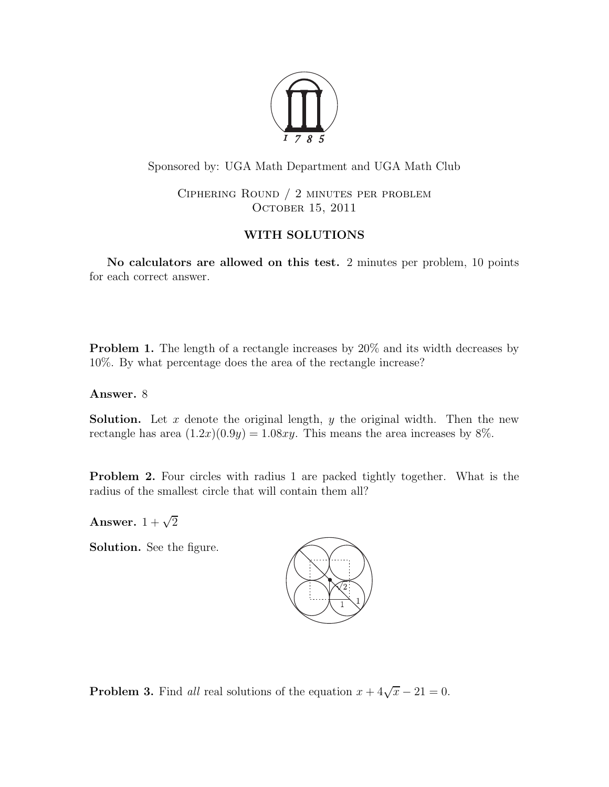

Sponsored by: UGA Math Department and UGA Math Club

Ciphering Round / 2 minutes per problem OCTOBER 15, 2011

# WITH SOLUTIONS

No calculators are allowed on this test. 2 minutes per problem, 10 points for each correct answer.

**Problem 1.** The length of a rectangle increases by 20% and its width decreases by 10%. By what percentage does the area of the rectangle increase?

Answer. 8

**Solution.** Let x denote the original length, y the original width. Then the new rectangle has area  $(1.2x)(0.9y) = 1.08xy$ . This means the area increases by 8%.

Problem 2. Four circles with radius 1 are packed tightly together. What is the radius of the smallest circle that will contain them all?

Answer.  $1 + \sqrt{2}$ 

Solution. See the figure.



**Problem 3.** Find all real solutions of the equation  $x + 4\sqrt{x} - 21 = 0$ .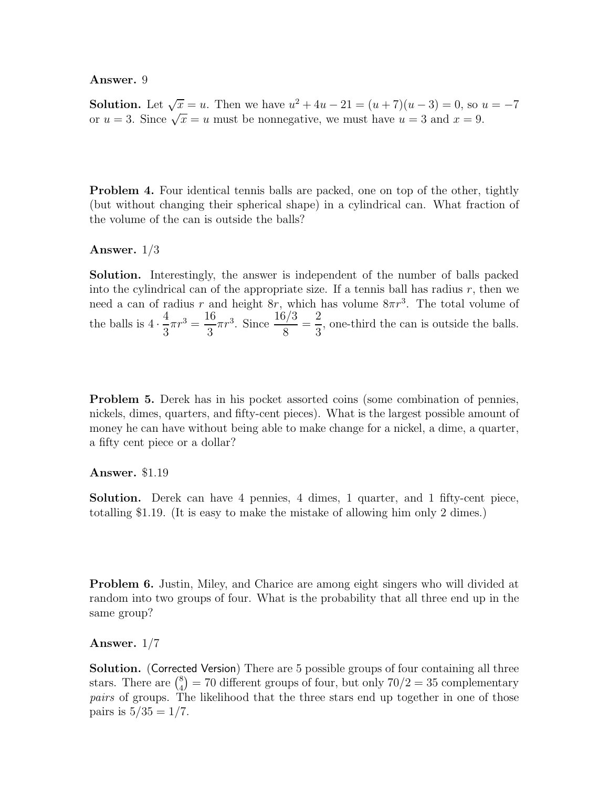#### Answer. 9

**Solution.** Let  $\sqrt{x} = u$ . Then we have  $u^2 + 4u - 21 = (u + 7)(u - 3) = 0$ , so  $u = -7$ or  $u = 3$ . Since  $\sqrt{x} = u$  must be nonnegative, we must have  $u = 3$  and  $x = 9$ .

**Problem 4.** Four identical tennis balls are packed, one on top of the other, tightly (but without changing their spherical shape) in a cylindrical can. What fraction of the volume of the can is outside the balls?

# Answer. 1/3

Solution. Interestingly, the answer is independent of the number of balls packed into the cylindrical can of the appropriate size. If a tennis ball has radius  $r$ , then we need a can of radius r and height  $8r$ , which has volume  $8\pi r^3$ . The total volume of the balls is  $4 \cdot$ 4 3  $\pi r^3 = \frac{16}{3}$ 3  $\pi r^3$ . Since  $\frac{16/3}{8}$ 8 = 2 3 , one-third the can is outside the balls.

Problem 5. Derek has in his pocket assorted coins (some combination of pennies, nickels, dimes, quarters, and fifty-cent pieces). What is the largest possible amount of money he can have without being able to make change for a nickel, a dime, a quarter, a fifty cent piece or a dollar?

## Answer. \$1.19

Solution. Derek can have 4 pennies, 4 dimes, 1 quarter, and 1 fifty-cent piece, totalling \$1.19. (It is easy to make the mistake of allowing him only 2 dimes.)

**Problem 6.** Justin, Miley, and Charice are among eight singers who will divided at random into two groups of four. What is the probability that all three end up in the same group?

## Answer. 1/7

Solution. (Corrected Version) There are 5 possible groups of four containing all three stars. There are  $\binom{8}{4}$  $\binom{8}{4} = 70$  different groups of four, but only  $70/2 = 35$  complementary pairs of groups. The likelihood that the three stars end up together in one of those pairs is  $5/35 = 1/7$ .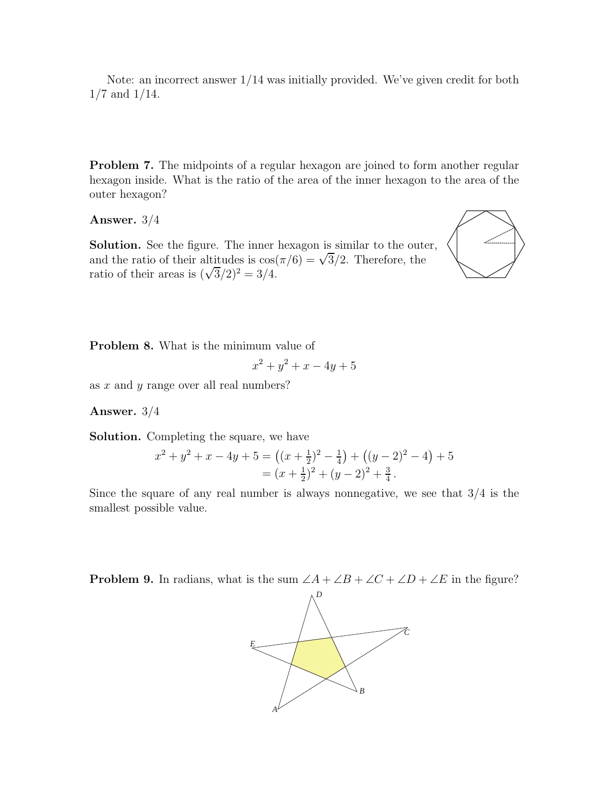Note: an incorrect answer 1/14 was initially provided. We've given credit for both 1/7 and 1/14.

**Problem 7.** The midpoints of a regular hexagon are joined to form another regular hexagon inside. What is the ratio of the area of the inner hexagon to the area of the outer hexagon?

Answer. 3/4

Solution. See the figure. The inner hexagon is similar to the outer, and the ratio of their altitudes is  $\cos(\pi/6) = \sqrt{3}/2$ . Therefore, the ratio of their areas is  $(\sqrt{3}/2)^2 = 3/4$ .



Problem 8. What is the minimum value of

$$
x^2 + y^2 + x - 4y + 5
$$

as x and y range over all real numbers?

## Answer. 3/4

Solution. Completing the square, we have

$$
x^{2} + y^{2} + x - 4y + 5 = ((x + \frac{1}{2})^{2} - \frac{1}{4}) + ((y - 2)^{2} - 4) + 5
$$
  
=  $(x + \frac{1}{2})^{2} + (y - 2)^{2} + \frac{3}{4}$ .

Since the square of any real number is always nonnegative, we see that  $3/4$  is the smallest possible value.

**Problem 9.** In radians, what is the sum  $\angle A + \angle B + \angle C + \angle D + \angle E$  in the figure?